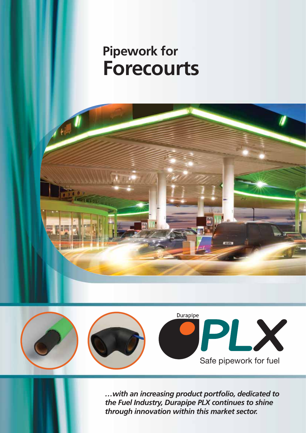# **Pipework for Forecourts**





*…with an increasing product portfolio, dedicated to the Fuel Industry, Durapipe PLX continues to shine through innovation within this market sector.*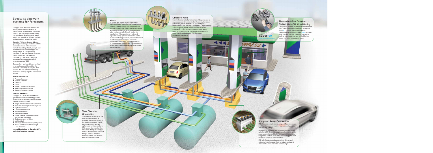#### **Tank Chamber Connection**

The chamber is central to the forecourt fuel system, it provides inspection access to the tank and protects the fill, suction, pressure (pump), siphon and vent connections. With space at a premium the innovative design of Durapipe PLX EF demountable compact flanges helps to minimise installation time and ensures easy access to the tank.

Durapipe UK is the world leader in the development and manufacture of thermoplastic pipe systems. Our large product portfolio, manufactured to the highest standards, allows us to supply widely into a variety of different markets and applications around the world.

Durapipe PLX is an above and below ground product range created to fulfil the application needs of the forecourt market. Consisting of both, a single wall and a secondary contained pipe and fittings range, PLX is specifically designed for the safe transfer of all fuelbased liquids and their vapours. Durapipe PLX has a track record of proven performance and product innovations since 1993.

- Single Wall and Secondary Contained
- Safe and Durable (30 Year Design Life)
- High Performance
- Corrosion Resistance
- Maintenance Free
- **Resists Permeation**
- Quick, Clean & Easy Electrofusion Jointing and Installation
- Dedicated range of fittings
- UV Resistant
- Full range of accessories and jointing tools
- Allows for Interstitial Monitoring & Leak Detection

# systems for forecou systems for forecourts

Car, van, lorry and bus drivers need fuel to be easily accessible, making the forecourt a necessity of daily life. PLX ensures that fuel is transferred safely from tanks to the pumps for commercial access.

#### **Market Applications**

- **Pressure Systems**
- **B** Suction Systems
- Offset Fill
- Vents
- Stage 1 & 2 vapour recovery
- **Tank Chamber connection**
- **B** Sump & Pump connection

#### **Features & Benefits**

Durapipe PLX is an above and below ground secondary contained pipework system specifically designed for the safe transfer of all liquid fuels.

**Chilled Water/Air Conditioning** Designed to operate at temperatures as low as -40ºC and highly impact resistant, Durapipe SuperFLO is ideal for chilled water/air conditioning applications. SuperFLO has been used in many comfort cooling applications, such as climate control and is ideal for the needs of a busy convenience store.



**..........all backed-up by Durapipe UK's unrivalled technical support.**



## **Sump and Pump Connection**

PLX threaded adaptors and compact flanges provide a safe and secure connection to pumps, dispensers and tank top fittings.

Designed for pressure and suction applications PLX spigot and EF threaded adaptors make perfect under pump connections while the compact demountable flange sets are best used in the confined spaces and restricted access of tank chambers.

PLX fully fused secondary contained fittings and extended transitions can help to reduce costs and eliminate the need for under-pump sumps.

#### **Vents**

PLX pipe and fittings safely transfer the vapour, from the pumps to the Underground Storage Tanks (UST'S), with no permeation into the atmosphere. Used for both stage one and stage two vapour recovery PLX is your safe, environmentally friendly choice for installation. Fully operational vents and vapour recovery systems ensure the UST's and associated pipework is pressure balanced and that air and fuel vapour are safely conveyed or recovered. The larger bore of PLX fill and vent systems will assist air/vapour flow and the condensed vapour return to it's respective UST.



### **Offset Fill Area**

In order to dramatically reduce tank filling time and to save costs and downtime for the forecourt, the larger bore of polyamide lined PLX fill and vent pipe improves flow and reduces UST fill time. With minimal available gravity head, frictional losses must be considered. Even though operating under gravity head, fill pipe should be considered as a pressure system and installed using PLX Secondary Containment systems.



**SUPETFLO** 

# **Also available from Durapipe.......**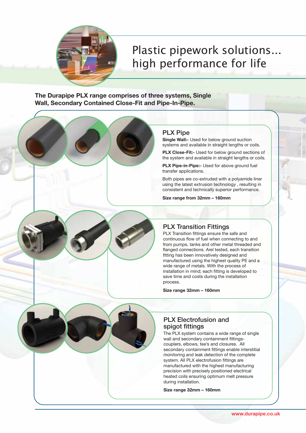

# Plastic pipework in the solution solutions. high performance for life

**The Durapipe PLX range comprises of three systems, Single Wall, Secondary Contained Close-Fit and Pipe-In-Pipe.**

## **PLX Pipe**

**Single Wall:-** Used for below ground suction systems and available in straight lengths or coils.

**PLX Close-Fit:-** Used for below ground sections of the system and available in straight lengths or coils.

**PLX Pipe-in-Pipe:-** Used for above ground fuel transfer applications.

Both pipes are co-extruded with a polyamide liner using the latest extrusion technology , resulting in consistent and technically superior performance.

**Size range from 32mm – 160mm** 

# **PLX Transition Fittings**

PLX Transition fittings ensure the safe and continuous flow of fuel when connecting to and from pumps, tanks and other metal threaded and flanged connections. Arel tested, each transition fitting has been innovatively designed and manufactured using the highest quality PE and a wide range of metals. With the process of installation in mind; each fitting is developed to save time and costs during the installation process.

**Size range 32mm – 160mm**

## **PLX Electrofusion and spigot fittings**

The PLX system contains a wide range of single wall and secondary containment fittingscouplers, elbows, tee's and closures. All secondary containment fittings enable interstitial monitoring and leak detection of the complete system. All PLX electrofusion fittings are manufactured with the highest manufacturing precision with precisely positioned electrical heated coils ensuring optimum melt pressure during installation.

**Size range 32mm – 160mm**